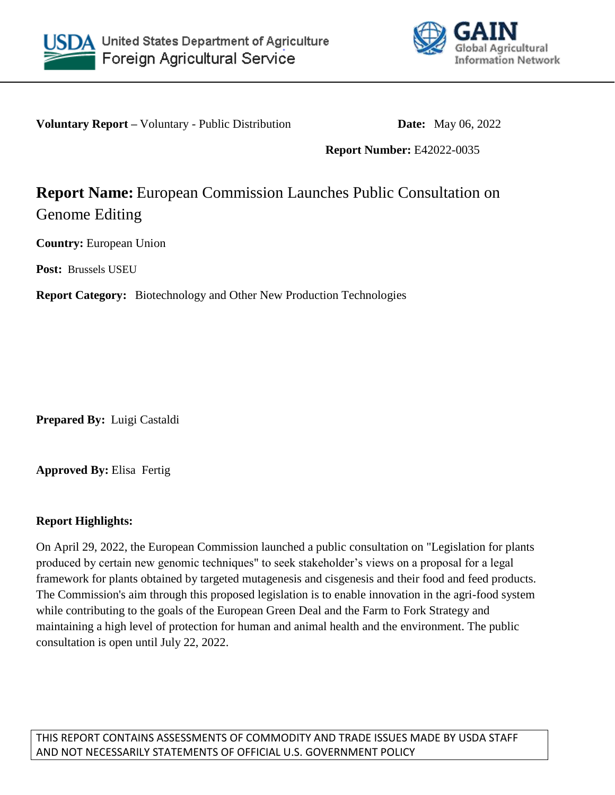



**Voluntary Report –** Voluntary - Public Distribution **Date:** May 06, 2022

**Report Number:** E42022-0035

# **Report Name:** European Commission Launches Public Consultation on Genome Editing

**Country:** European Union

**Post:** Brussels USEU

**Report Category:** Biotechnology and Other New Production Technologies

**Prepared By:** Luigi Castaldi

**Approved By:** Elisa Fertig

## **Report Highlights:**

On April 29, 2022, the European Commission launched a public consultation on "Legislation for plants produced by certain new genomic techniques" to seek stakeholder's views on a proposal for a legal framework for plants obtained by targeted mutagenesis and cisgenesis and their food and feed products. The Commission's aim through this proposed legislation is to enable innovation in the agri-food system while contributing to the goals of the European Green Deal and the Farm to Fork Strategy and maintaining a high level of protection for human and animal health and the environment. The public consultation is open until July 22, 2022.

THIS REPORT CONTAINS ASSESSMENTS OF COMMODITY AND TRADE ISSUES MADE BY USDA STAFF AND NOT NECESSARILY STATEMENTS OF OFFICIAL U.S. GOVERNMENT POLICY